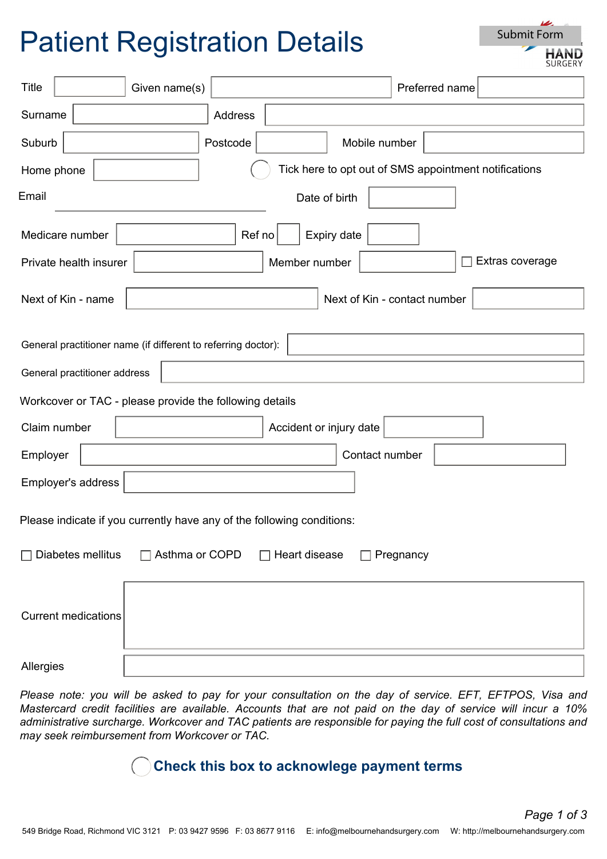# Patient Registration Details

| Submit Form |     |  |
|-------------|-----|--|
|             | HAN |  |

| <b>Title</b>                                                                        |                                                    | Given name(s) |          |               |                | Preferred name |  |  |
|-------------------------------------------------------------------------------------|----------------------------------------------------|---------------|----------|---------------|----------------|----------------|--|--|
| Surname                                                                             |                                                    |               | Address  |               |                |                |  |  |
| Suburb                                                                              |                                                    |               | Postcode |               | Mobile number  |                |  |  |
| Tick here to opt out of SMS appointment notifications<br>Home phone                 |                                                    |               |          |               |                |                |  |  |
| Email                                                                               |                                                    |               |          | Date of birth |                |                |  |  |
| Expiry date<br>Medicare number<br>Ref no                                            |                                                    |               |          |               |                |                |  |  |
| Extras coverage<br>Private health insurer<br>Member number                          |                                                    |               |          |               |                |                |  |  |
|                                                                                     | Next of Kin - name<br>Next of Kin - contact number |               |          |               |                |                |  |  |
| General practitioner name (if different to referring doctor):                       |                                                    |               |          |               |                |                |  |  |
|                                                                                     | General practitioner address                       |               |          |               |                |                |  |  |
| Workcover or TAC - please provide the following details                             |                                                    |               |          |               |                |                |  |  |
|                                                                                     | Accident or injury date<br>Claim number            |               |          |               |                |                |  |  |
| Employer                                                                            |                                                    |               |          |               | Contact number |                |  |  |
| Employer's address                                                                  |                                                    |               |          |               |                |                |  |  |
| Please indicate if you currently have any of the following conditions:              |                                                    |               |          |               |                |                |  |  |
| $\Box$ Asthma or COPD<br>Diabetes mellitus<br>Heart disease<br>Pregnancy<br>$\perp$ |                                                    |               |          |               |                |                |  |  |
| <b>Current medications</b>                                                          |                                                    |               |          |               |                |                |  |  |
|                                                                                     |                                                    |               |          |               |                |                |  |  |

Allergies

*Please note: you will be asked to pay for your consultation on the day of service. EFT, EFTPOS, Visa and Mastercard credit facilities are available. Accounts that are not paid on the day of service will incur a 10% administrative surcharge. Workcover and TAC patients are responsible for paying the full cost of consultations and may seek reimbursement from Workcover or TAC.*

#### **Check this box to acknowlege payment terms**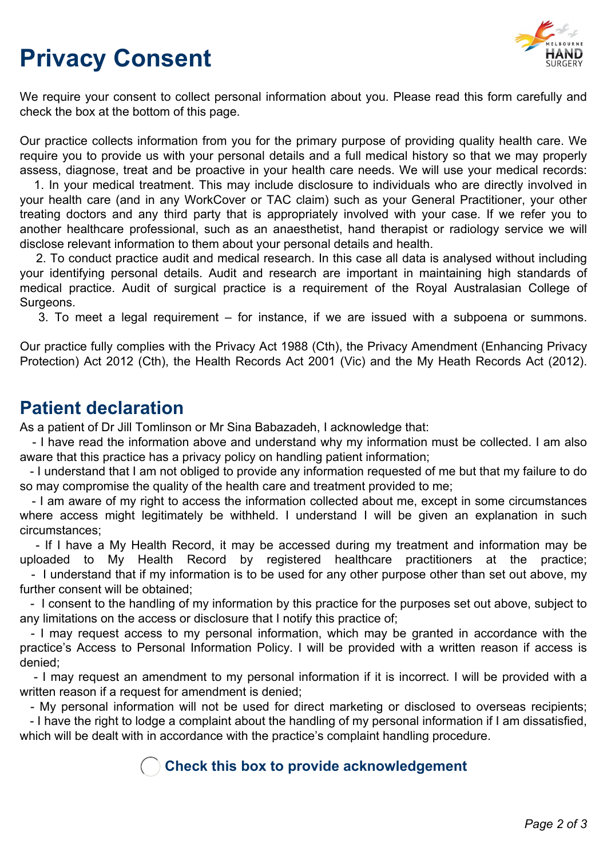## **Privacy Consent**



We require your consent to collect personal information about you. Please read this form carefully and check the box at the bottom of this page.

Our practice collects information from you for the primary purpose of providing quality health care. We require you to provide us with your personal details and a full medical history so that we may properly assess, diagnose, treat and be proactive in your health care needs. We will use your medical records:

1. In your medical treatment. This may include disclosure to individuals who are directly involved in your health care (and in any WorkCover or TAC claim) such as your General Practitioner, your other treating doctors and any third party that is appropriately involved with your case. If we refer you to another healthcare professional, such as an anaesthetist, hand therapist or radiology service we will disclose relevant information to them about your personal details and health.

2. To conduct practice audit and medical research. In this case all data is analysed without including your identifying personal details. Audit and research are important in maintaining high standards of medical practice. Audit of surgical practice is a requirement of the Royal Australasian College of Surgeons.

3. To meet a legal requirement – for instance, if we are issued with a subpoena or summons.

Our practice fully complies with the Privacy Act 1988 (Cth), the Privacy Amendment (Enhancing Privacy Protection) Act 2012 (Cth), the Health Records Act 2001 (Vic) and the My Heath Records Act (2012).

### **Patient declaration**

As a patient of Dr Jill Tomlinson or Mr Sina Babazadeh, I acknowledge that:

- I have read the information above and understand why my information must be collected. I am also aware that this practice has a privacy policy on handling patient information;

- I understand that I am not obliged to provide any information requested of me but that my failure to do so may compromise the quality of the health care and treatment provided to me;

- I am aware of my right to access the information collected about me, except in some circumstances where access might legitimately be withheld. I understand I will be given an explanation in such circumstances;

- If I have a My Health Record, it may be accessed during my treatment and information may be uploaded to My Health Record by registered healthcare practitioners at the practice;

- I understand that if my information is to be used for any other purpose other than set out above, my further consent will be obtained;

- I consent to the handling of my information by this practice for the purposes set out above, subject to any limitations on the access or disclosure that I notify this practice of;

- I may request access to my personal information, which may be granted in accordance with the practice's Access to Personal Information Policy. I will be provided with a written reason if access is denied;

- I may request an amendment to my personal information if it is incorrect. I will be provided with a written reason if a request for amendment is denied;

- My personal information will not be used for direct marketing or disclosed to overseas recipients;

- I have the right to lodge a complaint about the handling of my personal information if I am dissatisfied, which will be dealt with in accordance with the practice's complaint handling procedure.

#### **Check this box to provide acknowledgement**